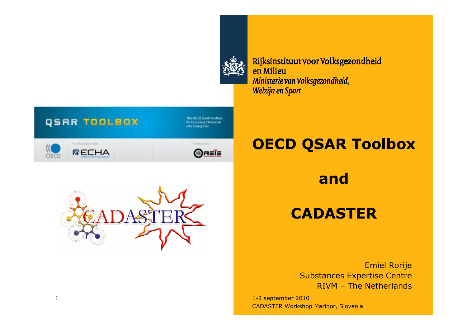

Rijksinstituut voor Volksgezondheid en Milieu Ministerie van Volksgezondheid, Welzijn en Sport



The OECD QSAR Toolbox for Grouping Chemicals nto Categories



Dirichiently **ORSIS** 

### OECD QSAR Toolbox

#### and

#### **CADASTER**

Emiel Rorije Substances Expertise Centre<br>PIVM – The Netherlands RIVM – The Netherlands

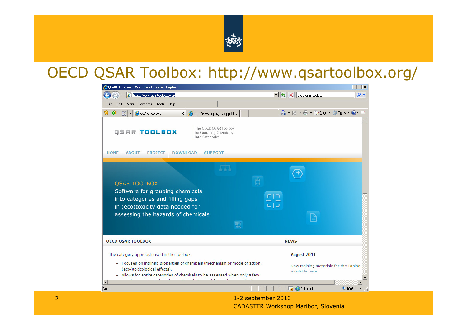

#### OECD QSAR Toolbox: http://www.qsartoolbox.org/

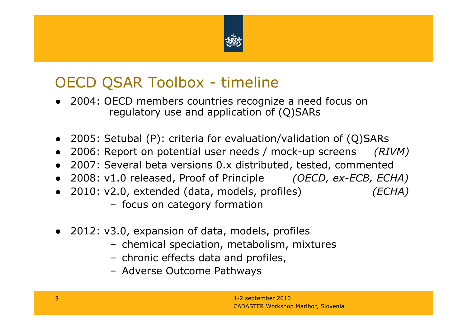

## OECD QSAR Toolbox - timeline

- 2004: OECD members countries recognize a need focus on regulatory use and application of (Q)SARs
- 2005: Setubal (P): criteria for evaluation/validation of (Q)SARs<br>● 2006: Pepert on potential user peods / mock-un screens *(P1*
- ●2006: Report on potential user needs / mock-up screens (RIVM)
- 2007: Several beta versions 0.x distributed, tested, commented<br>● 2008: v1.0 released. Proof of Principle *(OECD, ex-ECB, ECL*
- 2008: v1.0 released, Proof of Principle *(OECD, ex-ECB, ECHA)*<br>● 2010: v2.0 extended (data\_models\_prefiles) *\_\_\_\_\_\_\_\_\_\_\_\_\_\_\_\_\_\_\_\_\_\_\_\_\_\_\_\_\_\_\_\_\_\_*
- 2010: v2.0, extended (data, models, profiles) (ECHA)<br>→ focus on sategory formation
	- focus on category formation
- 2012: v3.0, expansion of data, models, profiles
	- chemical speciation, metabolism, mixtures
	- chronic effects data and profiles,<br>- Adverse Outcome Pathways
	- Adverse Outcome Pathways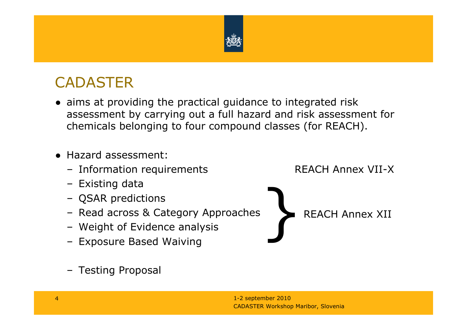

## **CADASTER**

- aims at providing the practical guidance to integrated risk<br>assessment by carrying out a full hazard and risk assessme assessment by carrying out a full hazard and risk assessment forchemicals belonging to four compound classes (for REACH).
- Hazard assessment:<br>Enformation requi
	- Information requirements Fact REACH Annex VII-X
	- Existing data
	- QSAR predictions
	- Read across & Category Approaches
	- Weight of Evidence analysis<br>Expesure Based Waiving
	- Exposure Based Waiving

**}** REACH Annex XII

– Testing Proposal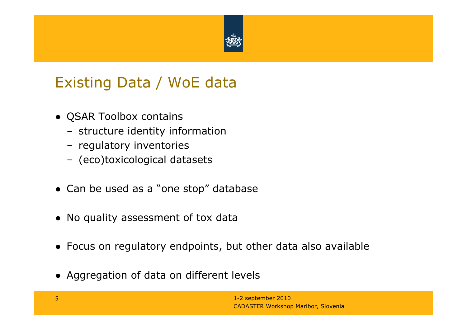

### Existing Data / WoE data

- QSAR Toolbox contains<br>churchure identity inf
	- structure identity information
	- regulatory inventories
	- (eco)toxicological datasets
- Can be used as a "one stop" database
- No quality assessment of tox data
- Focus on regulatory endpoints, but other data also available
- Aggregation of data on different levels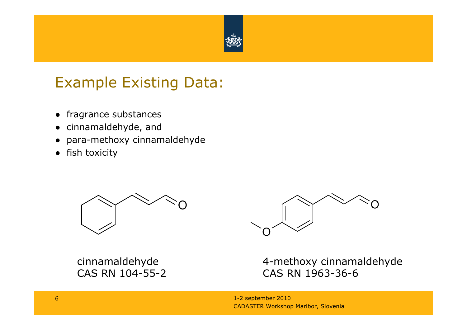

## Example Existing Data:

- fragrance substances<br>。 sinnamaldebude and
- cinnamaldehyde, and
- para-methoxy cinnamaldehyde<br>。fich texisity
- fish toxicity



cinnamaldehydeCAS RN 104-55-2



4-methoxy cinnamaldehydeCAS RN 1963-36-6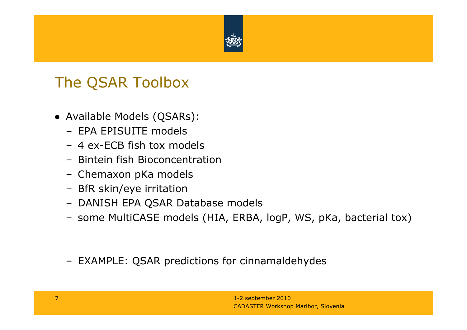

#### The QSAR Toolbox

- Available Models (QSARs):
	- EPA EPISUITE models
	- 4 ex-ECB fish tox models
	- Bintein fish Bioconcentration
	- Chemaxon pKa models
	- BfR skin/eye irritation
	- DANISH EPA QSAR Database models
	- some MultiCASE models (HIA, ERBA, logP, WS, pKa, bacterial tox)
	- EXAMPLE: QSAR predictions for cinnamaldehydes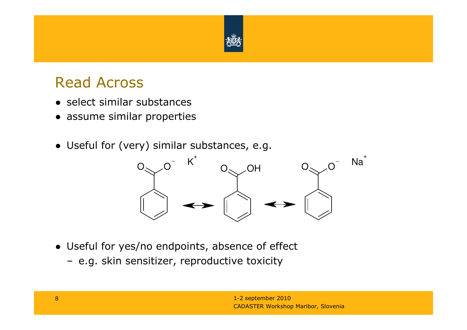

#### Read Across

- select similar substances<br>● sesume similar prepartie
- assume similar properties
- Useful for (very) similar substances, e.g.



- Useful for yes/no endpoints, absence of effect
	- e.g. skin sensitizer, reproductive toxicity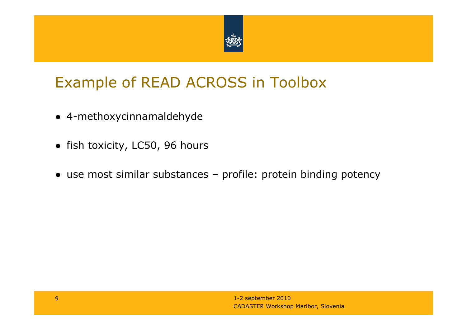

## Example of READ ACROSS in Toolbox

- 4-methoxycinnamaldehyde
- fish toxicity, LC50, 96 hours
- use most similar substances profile: protein binding potency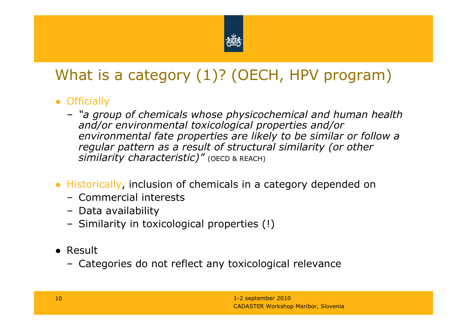

# What is a category (1)? (OECH, HPV program)

- Officially<br>e "a aro
	- "a group of chemicals whose physicochemical and human health and/or environmental toxicological properties and/or environmental fate properties are likely to be similar or follow a<br>regular pattern as a result of structural similarity (or other regular pattern as a result of structural similarity (or other  $\boldsymbol{s}$ imilarity characteristic)" (оєср & rеасн)
- Historically, inclusion of chemicals in a category depended on<br>← Commercial interests
	- Commercial interests<br>– Data availability
	- Data availability<br>– Similarity in tox
	- Similarity in toxicological properties (!)
- Result<br>← Cat
	- Categories do not reflect any toxicological relevance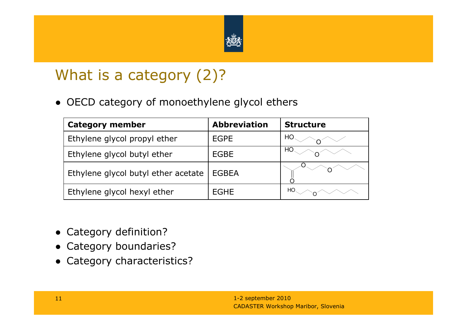

## What is a category (2)?

● OECD category of monoethylene glycol ethers

| <b>Category member</b>              | <b>Abbreviation</b> | <b>Structure</b> |
|-------------------------------------|---------------------|------------------|
| Ethylene glycol propyl ether        | <b>EGPE</b>         |                  |
| Ethylene glycol butyl ether         | EGBE                |                  |
| Ethylene glycol butyl ether acetate | <b>EGBEA</b>        |                  |
| Ethylene glycol hexyl ether         | EGHE                | HО               |

- Category definition?
- Category boundaries?<br>● Category characteristi
- Category characteristics?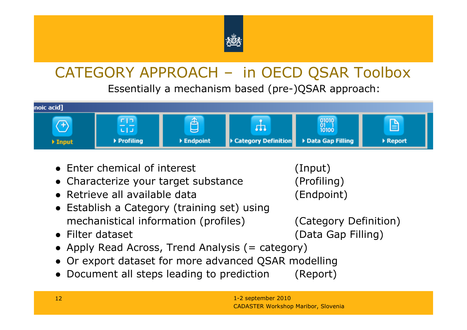

# CATEGORY APPROACH – in OECD QSAR Toolbox

Essentially a mechanism based (pre-)QSAR approach:



- Enter chemical of interest (Input)<br>● Charactorize your target substance (Arefilin
- Characterize your target substance (Profiling)
- Retrieve all available data

- Retrieve all available data (Endpoint) Establish a Category (training set) using mechanistical information (profiles) (Category Definition)<br>Filter dataset (Data Gap Filling)
- Filter dataset
- Filter dataset (Data Gap Filling) Apply Read Across, Trend Analysis (= category)
- Or export dataset for more advanced QSAR modelling
- Document all steps leading to prediction (Report)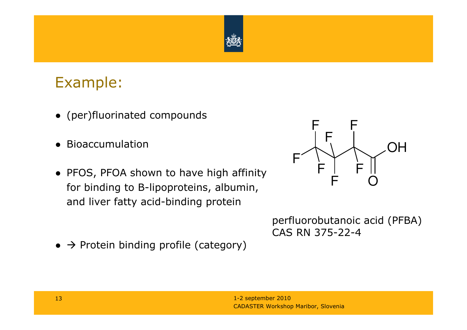

#### Example:

- (per)fluorinated compounds
- Bioaccumulation
- PFOS, PFOA shown to have high affinity<br>
for hinding to B linearatoing, albumin for binding to B-lipoproteins, albumin, and liver fatty acid-binding protein
- $\bullet \rightarrow$  Protein binding profile (category)



perfluorobutanoic acid (PFBA) CAS RN 375-22-4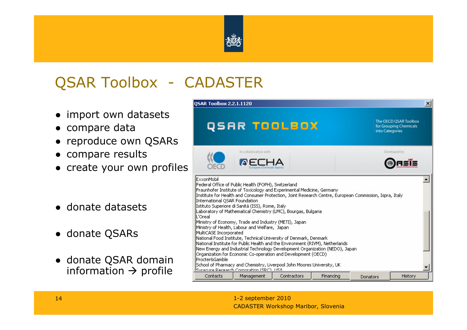

# QSAR Toolbox - CADASTER

- import own datasets<br>• compare data
- compare data
- reproduce own QSARs<br>● compare results
- compare results<br>● croate vour ewn
- create your own profiles
- donate datasets
- donate QSARs
- donate QSAR domain<br>information → profile information  $\rightarrow$  profile